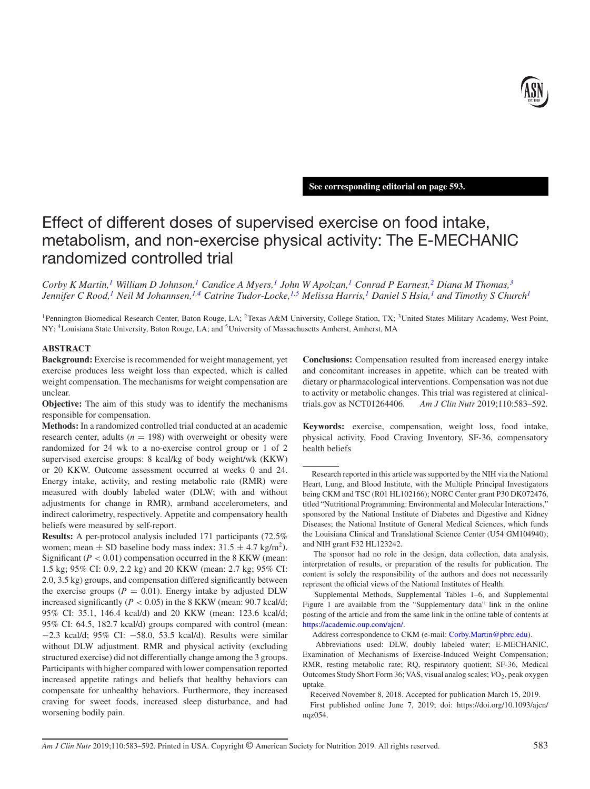

**See corresponding editorial on page 593.**

# Effect of different doses of supervised exercise on food intake, metabolism, and non-exercise physical activity: The E-MECHANIC randomized controlled trial

*Corby K Martin,[1](#page-0-0) William D Johnson,[1](#page-0-0) Candice A Myers[,1](#page-0-0) John W Apolzan,[1](#page-0-0) Conrad P Earnest,[2](#page-0-1) Diana M Thomas[,3](#page-0-2) Jennifer C Rood,[1](#page-0-0) Neil M Johannsen[,1,](#page-0-0)[4](#page-0-3) Catrine Tudor-Locke,[1](#page-0-0)[,5](#page-0-4) Melissa Harris[,1](#page-0-0) Daniel S Hsia,[1](#page-0-0) and Timothy S Churc[h1](#page-0-0)*

<span id="page-0-3"></span><span id="page-0-0"></span><sup>1</sup> Pennington Biomedical Research Center, Baton Rouge, LA; <sup>2</sup>Texas A&M University, College Station, TX; <sup>3</sup>United States Military Academy, West Point, NY; 4Louisiana State University, Baton Rouge, LA; and 5University of Massachusetts Amherst, Amherst, MA

# **ABSTRACT**

**Background:** Exercise is recommended for weight management, yet exercise produces less weight loss than expected, which is called weight compensation. The mechanisms for weight compensation are unclear.

**Objective:** The aim of this study was to identify the mechanisms responsible for compensation.

**Methods:** In a randomized controlled trial conducted at an academic research center, adults ( $n = 198$ ) with overweight or obesity were randomized for 24 wk to a no-exercise control group or 1 of 2 supervised exercise groups: 8 kcal/kg of body weight/wk (KKW) or 20 KKW. Outcome assessment occurred at weeks 0 and 24. Energy intake, activity, and resting metabolic rate (RMR) were measured with doubly labeled water (DLW; with and without adjustments for change in RMR), armband accelerometers, and indirect calorimetry, respectively. Appetite and compensatory health beliefs were measured by self-report.

**Results:** A per-protocol analysis included 171 participants (72.5% women; mean  $\pm$  SD baseline body mass index: 31.5  $\pm$  4.7 kg/m<sup>2</sup>). Significant  $(P < 0.01)$  compensation occurred in the 8 KKW (mean: 1.5 kg; 95% CI: 0.9, 2.2 kg) and 20 KKW (mean: 2.7 kg; 95% CI: 2.0, 3.5 kg) groups, and compensation differed significantly between the exercise groups  $(P = 0.01)$ . Energy intake by adjusted DLW increased significantly ( $P < 0.05$ ) in the 8 KKW (mean: 90.7 kcal/d; 95% CI: 35.1, 146.4 kcal/d) and 20 KKW (mean: 123.6 kcal/d; 95% CI: 64.5, 182.7 kcal/d) groups compared with control (mean: −2.3 kcal/d; 95% CI: −58.0, 53.5 kcal/d). Results were similar without DLW adjustment. RMR and physical activity (excluding structured exercise) did not differentially change among the 3 groups. Participants with higher compared with lower compensation reported increased appetite ratings and beliefs that healthy behaviors can compensate for unhealthy behaviors. Furthermore, they increased craving for sweet foods, increased sleep disturbance, and had worsening bodily pain.

<span id="page-0-4"></span><span id="page-0-2"></span><span id="page-0-1"></span>**Conclusions:** Compensation resulted from increased energy intake and concomitant increases in appetite, which can be treated with dietary or pharmacological interventions. Compensation was not due to activity or metabolic changes. This trial was registered at clinicaltrials.gov as NCT01264406. *Am J Clin Nutr* 2019;110:583–592.

**Keywords:** exercise, compensation, weight loss, food intake, physical activity, Food Craving Inventory, SF-36, compensatory health beliefs

Research reported in this article was supported by the NIH via the National Heart, Lung, and Blood Institute, with the Multiple Principal Investigators being CKM and TSC (R01 HL102166); NORC Center grant P30 DK072476, titled "Nutritional Programming: Environmental and Molecular Interactions," sponsored by the National Institute of Diabetes and Digestive and Kidney Diseases; the National Institute of General Medical Sciences, which funds the Louisiana Clinical and Translational Science Center (U54 GM104940); and NIH grant F32 HL123242.

The sponsor had no role in the design, data collection, data analysis, interpretation of results, or preparation of the results for publication. The content is solely the responsibility of the authors and does not necessarily represent the official views of the National Institutes of Health.

Supplemental Methods, Supplemental Tables 1–6, and Supplemental Figure 1 are available from the "Supplementary data" link in the online posting of the article and from the same link in the online table of contents at [https://academic.oup.com/ajcn/.](https://academic.oup.com/ajcn/)

Address correspondence to CKM (e-mail: [Corby.Martin@pbrc.edu\)](mailto:Corby.Martin@pbrc.edu).

Abbreviations used: DLW, doubly labeled water; E-MECHANIC, Examination of Mechanisms of Exercise-Induced Weight Compensation; RMR, resting metabolic rate; RQ, respiratory quotient; SF-36, Medical Outcomes Study Short Form 36; VAS, visual analog scales; *VO*<sub>2</sub>, peak oxygen uptake.

Received November 8, 2018. Accepted for publication March 15, 2019.

First published online June 7, 2019; doi: https://doi.org/10.1093/ajcn/ nqz054.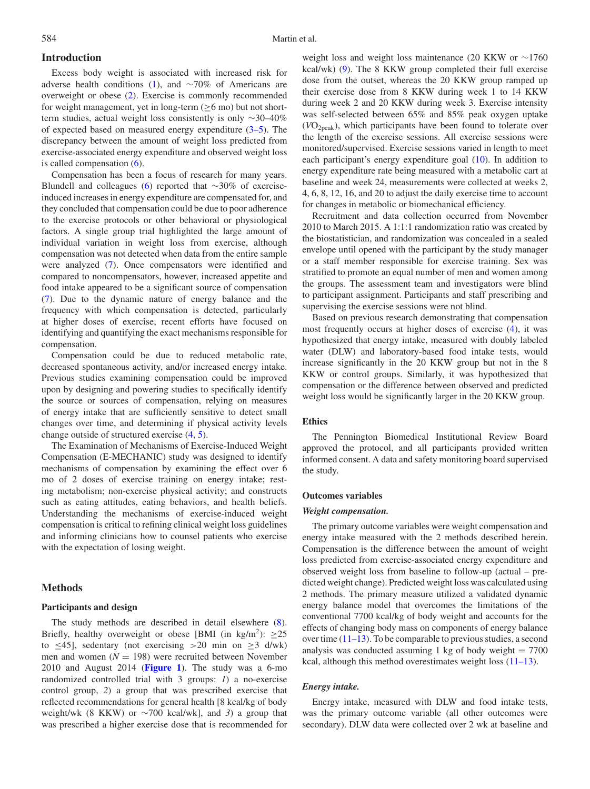# **Introduction**

Excess body weight is associated with increased risk for adverse health conditions [\(1\)](#page-8-0), and ∼70% of Americans are overweight or obese [\(2\)](#page-8-1). Exercise is commonly recommended for weight management, yet in long-term ( $\geq 6$  mo) but not shortterm studies, actual weight loss consistently is only ∼30–40% of expected based on measured energy expenditure [\(3–5\)](#page-8-2). The discrepancy between the amount of weight loss predicted from exercise-associated energy expenditure and observed weight loss is called compensation [\(6\)](#page-8-3).

Compensation has been a focus of research for many years. Blundell and colleagues [\(6\)](#page-8-3) reported that ∼30% of exerciseinduced increases in energy expenditure are compensated for, and they concluded that compensation could be due to poor adherence to the exercise protocols or other behavioral or physiological factors. A single group trial highlighted the large amount of individual variation in weight loss from exercise, although compensation was not detected when data from the entire sample were analyzed [\(7\)](#page-8-4). Once compensators were identified and compared to noncompensators, however, increased appetite and food intake appeared to be a significant source of compensation [\(7\)](#page-8-4). Due to the dynamic nature of energy balance and the frequency with which compensation is detected, particularly at higher doses of exercise, recent efforts have focused on identifying and quantifying the exact mechanisms responsible for compensation.

Compensation could be due to reduced metabolic rate, decreased spontaneous activity, and/or increased energy intake. Previous studies examining compensation could be improved upon by designing and powering studies to specifically identify the source or sources of compensation, relying on measures of energy intake that are sufficiently sensitive to detect small changes over time, and determining if physical activity levels change outside of structured exercise [\(4,](#page-8-5) [5\)](#page-8-6).

The Examination of Mechanisms of Exercise-Induced Weight Compensation (E-MECHANIC) study was designed to identify mechanisms of compensation by examining the effect over 6 mo of 2 doses of exercise training on energy intake; resting metabolism; non-exercise physical activity; and constructs such as eating attitudes, eating behaviors, and health beliefs. Understanding the mechanisms of exercise-induced weight compensation is critical to refining clinical weight loss guidelines and informing clinicians how to counsel patients who exercise with the expectation of losing weight.

## **Methods**

## **Participants and design**

The study methods are described in detail elsewhere [\(8\)](#page-8-7). Briefly, healthy overweight or obese [BMI (in kg/m<sup>2</sup>): >25 to  $\leq$ 45], sedentary (not exercising >20 min on  $\geq$ 3 d/wk) men and women  $(N = 198)$  were recruited between November 2010 and August 2014 (**[Figure 1](#page-2-0)**). The study was a 6-mo randomized controlled trial with 3 groups: *1*) a no-exercise control group, *2*) a group that was prescribed exercise that reflected recommendations for general health [8 kcal/kg of body weight/wk (8 KKW) or ∼700 kcal/wk], and *3*) a group that was prescribed a higher exercise dose that is recommended for

weight loss and weight loss maintenance (20 KKW or ∼1760 kcal/wk) [\(9\)](#page-8-8). The 8 KKW group completed their full exercise dose from the outset, whereas the 20 KKW group ramped up their exercise dose from 8 KKW during week 1 to 14 KKW during week 2 and 20 KKW during week 3. Exercise intensity was self-selected between 65% and 85% peak oxygen uptake (*V*O2peak), which participants have been found to tolerate over the length of the exercise sessions. All exercise sessions were monitored/supervised. Exercise sessions varied in length to meet each participant's energy expenditure goal [\(10\)](#page-9-0). In addition to energy expenditure rate being measured with a metabolic cart at baseline and week 24, measurements were collected at weeks 2, 4, 6, 8, 12, 16, and 20 to adjust the daily exercise time to account for changes in metabolic or biomechanical efficiency.

Recruitment and data collection occurred from November 2010 to March 2015. A 1:1:1 randomization ratio was created by the biostatistician, and randomization was concealed in a sealed envelope until opened with the participant by the study manager or a staff member responsible for exercise training. Sex was stratified to promote an equal number of men and women among the groups. The assessment team and investigators were blind to participant assignment. Participants and staff prescribing and supervising the exercise sessions were not blind.

Based on previous research demonstrating that compensation most frequently occurs at higher doses of exercise [\(4\)](#page-8-5), it was hypothesized that energy intake, measured with doubly labeled water (DLW) and laboratory-based food intake tests, would increase significantly in the 20 KKW group but not in the 8 KKW or control groups. Similarly, it was hypothesized that compensation or the difference between observed and predicted weight loss would be significantly larger in the 20 KKW group.

# **Ethics**

The Pennington Biomedical Institutional Review Board approved the protocol, and all participants provided written informed consent. A data and safety monitoring board supervised the study.

#### **Outcomes variables**

#### *Weight compensation.*

The primary outcome variables were weight compensation and energy intake measured with the 2 methods described herein. Compensation is the difference between the amount of weight loss predicted from exercise-associated energy expenditure and observed weight loss from baseline to follow-up (actual – predicted weight change). Predicted weight loss was calculated using 2 methods. The primary measure utilized a validated dynamic energy balance model that overcomes the limitations of the conventional 7700 kcal/kg of body weight and accounts for the effects of changing body mass on components of energy balance over time [\(11–13\)](#page-9-1). To be comparable to previous studies, a second analysis was conducted assuming 1 kg of body weight  $= 7700$ kcal, although this method overestimates weight loss (11-13).

#### *Energy intake.*

Energy intake, measured with DLW and food intake tests, was the primary outcome variable (all other outcomes were secondary). DLW data were collected over 2 wk at baseline and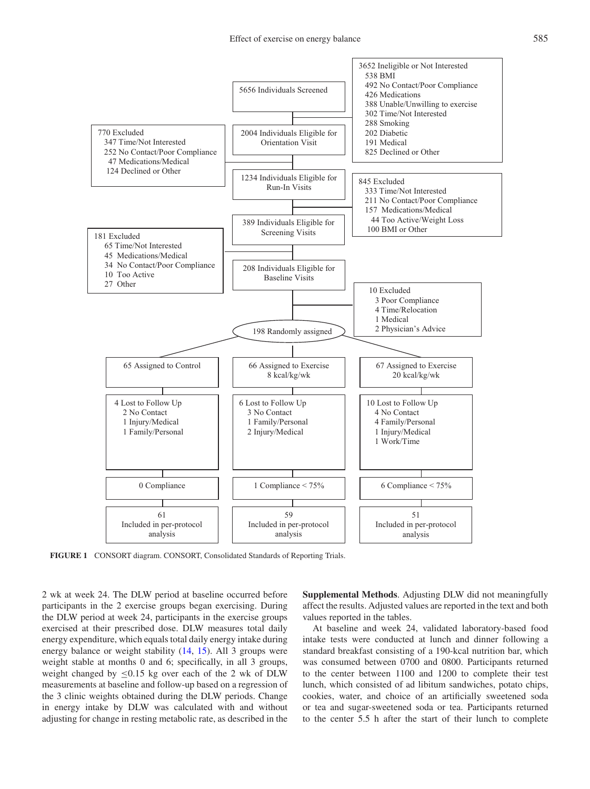<span id="page-2-0"></span>

**FIGURE 1** CONSORT diagram. CONSORT, Consolidated Standards of Reporting Trials.

2 wk at week 24. The DLW period at baseline occurred before participants in the 2 exercise groups began exercising. During the DLW period at week 24, participants in the exercise groups exercised at their prescribed dose. DLW measures total daily energy expenditure, which equals total daily energy intake during energy balance or weight stability [\(14,](#page-9-2) [15\)](#page-9-3). All 3 groups were weight stable at months 0 and 6; specifically, in all 3 groups, weight changed by  $\leq 0.15$  kg over each of the 2 wk of DLW measurements at baseline and follow-up based on a regression of the 3 clinic weights obtained during the DLW periods. Change in energy intake by DLW was calculated with and without adjusting for change in resting metabolic rate, as described in the **Supplemental Methods**. Adjusting DLW did not meaningfully affect the results. Adjusted values are reported in the text and both values reported in the tables.

At baseline and week 24, validated laboratory-based food intake tests were conducted at lunch and dinner following a standard breakfast consisting of a 190-kcal nutrition bar, which was consumed between 0700 and 0800. Participants returned to the center between 1100 and 1200 to complete their test lunch, which consisted of ad libitum sandwiches, potato chips, cookies, water, and choice of an artificially sweetened soda or tea and sugar-sweetened soda or tea. Participants returned to the center 5.5 h after the start of their lunch to complete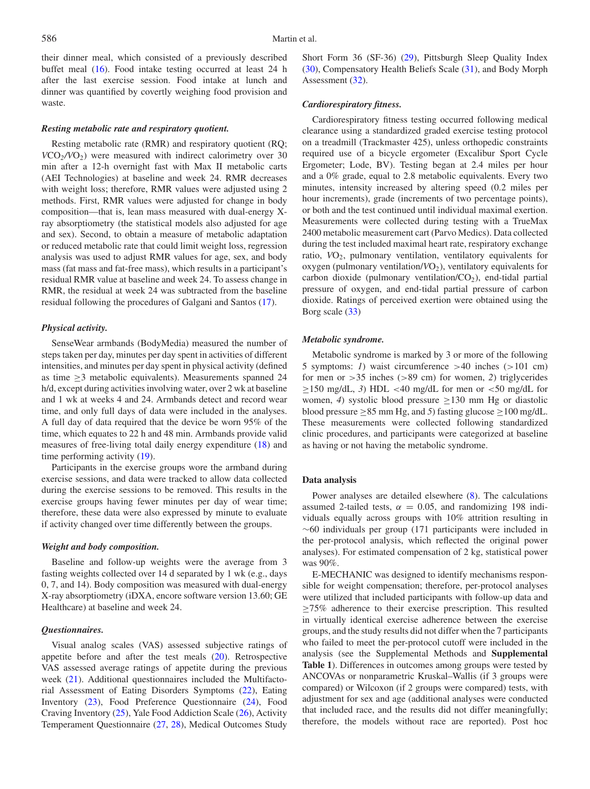their dinner meal, which consisted of a previously described buffet meal [\(16\)](#page-9-4). Food intake testing occurred at least 24 h after the last exercise session. Food intake at lunch and dinner was quantified by covertly weighing food provision and waste.

#### *Resting metabolic rate and respiratory quotient.*

Resting metabolic rate (RMR) and respiratory quotient (RQ; *V*CO*2/V*O2) were measured with indirect calorimetry over 30 min after a 12-h overnight fast with Max II metabolic carts (AEI Technologies) at baseline and week 24. RMR decreases with weight loss; therefore, RMR values were adjusted using 2 methods. First, RMR values were adjusted for change in body composition—that is, lean mass measured with dual-energy Xray absorptiometry (the statistical models also adjusted for age and sex). Second, to obtain a measure of metabolic adaptation or reduced metabolic rate that could limit weight loss, regression analysis was used to adjust RMR values for age, sex, and body mass (fat mass and fat-free mass), which results in a participant's residual RMR value at baseline and week 24. To assess change in RMR, the residual at week 24 was subtracted from the baseline residual following the procedures of Galgani and Santos [\(17\)](#page-9-5).

#### *Physical activity.*

SenseWear armbands (BodyMedia) measured the number of steps taken per day, minutes per day spent in activities of different intensities, and minutes per day spent in physical activity (defined as time  $\geq$ 3 metabolic equivalents). Measurements spanned 24 h/d, except during activities involving water, over 2 wk at baseline and 1 wk at weeks 4 and 24. Armbands detect and record wear time, and only full days of data were included in the analyses. A full day of data required that the device be worn 95% of the time, which equates to 22 h and 48 min. Armbands provide valid measures of free-living total daily energy expenditure [\(18\)](#page-9-6) and time performing activity [\(19\)](#page-9-7).

Participants in the exercise groups wore the armband during exercise sessions, and data were tracked to allow data collected during the exercise sessions to be removed. This results in the exercise groups having fewer minutes per day of wear time; therefore, these data were also expressed by minute to evaluate if activity changed over time differently between the groups.

#### *Weight and body composition.*

Baseline and follow-up weights were the average from 3 fasting weights collected over 14 d separated by 1 wk (e.g., days 0, 7, and 14). Body composition was measured with dual-energy X-ray absorptiometry (iDXA, encore software version 13.60; GE Healthcare) at baseline and week 24.

#### *Questionnaires.*

Visual analog scales (VAS) assessed subjective ratings of appetite before and after the test meals [\(20\)](#page-9-8). Retrospective VAS assessed average ratings of appetite during the previous week [\(21\)](#page-9-9). Additional questionnaires included the Multifactorial Assessment of Eating Disorders Symptoms [\(22\)](#page-9-10), Eating Inventory [\(23\)](#page-9-11), Food Preference Questionnaire [\(24\)](#page-9-12), Food Craving Inventory [\(25\)](#page-9-13), Yale Food Addiction Scale [\(26\)](#page-9-14), Activity Temperament Questionnaire [\(27,](#page-9-15) [28\)](#page-9-16), Medical Outcomes Study Short Form 36 (SF-36) [\(29\)](#page-9-17), Pittsburgh Sleep Quality Index [\(30\)](#page-9-18), Compensatory Health Beliefs Scale [\(31\)](#page-9-19), and Body Morph Assessment [\(32\)](#page-9-20).

#### *Cardiorespiratory fitness.*

Cardiorespiratory fitness testing occurred following medical clearance using a standardized graded exercise testing protocol on a treadmill (Trackmaster 425), unless orthopedic constraints required use of a bicycle ergometer (Excalibur Sport Cycle Ergometer; Lode, BV). Testing began at 2.4 miles per hour and a 0% grade, equal to 2.8 metabolic equivalents. Every two minutes, intensity increased by altering speed (0.2 miles per hour increments), grade (increments of two percentage points), or both and the test continued until individual maximal exertion. Measurements were collected during testing with a TrueMax 2400 metabolic measurement cart (Parvo Medics). Data collected during the test included maximal heart rate, respiratory exchange ratio, VO<sub>2</sub>, pulmonary ventilation, ventilatory equivalents for oxygen (pulmonary ventilation/ $VO<sub>2</sub>$ ), ventilatory equivalents for carbon dioxide (pulmonary ventilation/ $CO<sub>2</sub>$ ), end-tidal partial pressure of oxygen, and end-tidal partial pressure of carbon dioxide. Ratings of perceived exertion were obtained using the Borg scale [\(33\)](#page-9-21)

#### *Metabolic syndrome.*

Metabolic syndrome is marked by 3 or more of the following 5 symptoms: *1*) waist circumference >40 inches (>101 cm) for men or >35 inches (>89 cm) for women, *2*) triglycerides  $\geq$ 150 mg/dL, 3) HDL <40 mg/dL for men or <50 mg/dL for women, 4) systolic blood pressure  $\geq$ 130 mm Hg or diastolic blood pressure  $\geq$ 85 mm Hg, and 5) fasting glucose  $\geq$ 100 mg/dL. These measurements were collected following standardized clinic procedures, and participants were categorized at baseline as having or not having the metabolic syndrome.

#### **Data analysis**

Power analyses are detailed elsewhere [\(8\)](#page-8-7). The calculations assumed 2-tailed tests,  $\alpha = 0.05$ , and randomizing 198 individuals equally across groups with 10% attrition resulting in ∼60 individuals per group (171 participants were included in the per-protocol analysis, which reflected the original power analyses). For estimated compensation of 2 kg, statistical power was 90%.

E-MECHANIC was designed to identify mechanisms responsible for weight compensation; therefore, per-protocol analyses were utilized that included participants with follow-up data and  $\geq$ 75% adherence to their exercise prescription. This resulted in virtually identical exercise adherence between the exercise groups, and the study results did not differ when the 7 participants who failed to meet the per-protocol cutoff were included in the analysis (see the Supplemental Methods and **Supplemental Table 1**). Differences in outcomes among groups were tested by ANCOVAs or nonparametric Kruskal–Wallis (if 3 groups were compared) or Wilcoxon (if 2 groups were compared) tests, with adjustment for sex and age (additional analyses were conducted that included race, and the results did not differ meaningfully; therefore, the models without race are reported). Post hoc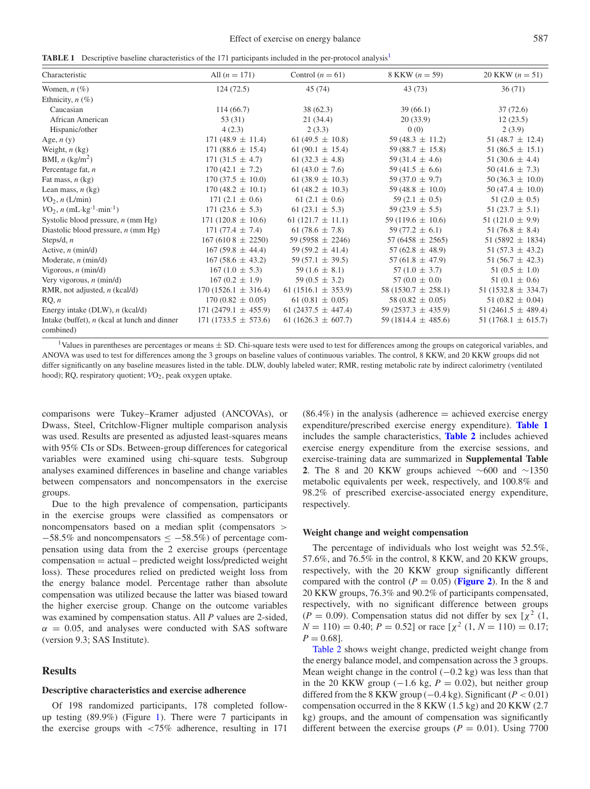<span id="page-4-1"></span>**TABLE [1](#page-4-0)** Descriptive baseline characteristics of the 171 participants included in the per-protocol analysis<sup>1</sup>

| Characteristic                                              | All $(n = 171)$         | Control $(n = 61)$      | 8 KKW $(n = 59)$        | 20 KKW $(n = 51)$       |
|-------------------------------------------------------------|-------------------------|-------------------------|-------------------------|-------------------------|
| Women, $n$ $(\%)$                                           | 124(72.5)               | 45 (74)                 | 43 (73)                 | 36(71)                  |
| Ethnicity, $n$ (%)                                          |                         |                         |                         |                         |
| Caucasian                                                   | 114(66.7)               | 38(62.3)                | 39(66.1)                | 37(72.6)                |
| African American                                            | 53 (31)                 | 21(34.4)                | 20(33.9)                | 12(23.5)                |
| Hispanic/other                                              | 4(2.3)                  | 2(3.3)                  | 0(0)                    | 2(3.9)                  |
| Age, $n(y)$                                                 | $171(48.9 \pm 11.4)$    | 61 (49.5 $\pm$ 10.8)    | 59 (48.3 $\pm$ 11.2)    | 51 (48.7 $\pm$ 12.4)    |
| Weight, $n$ (kg)                                            | 171 $(88.6 \pm 15.4)$   | 61 (90.1 $\pm$ 15.4)    | 59 (88.7 $\pm$ 15.8)    | $51(86.5 \pm 15.1)$     |
| BMI, $n$ (kg/m <sup>2</sup> )                               | $171(31.5 \pm 4.7)$     | 61 $(32.3 \pm 4.8)$     | 59 (31.4 $\pm$ 4.6)     | 51 $(30.6 \pm 4.4)$     |
| Percentage fat, $n$                                         | $170(42.1 \pm 7.2)$     | 61 (43.0 $\pm$ 7.6)     | 59 (41.5 $\pm$ 6.6)     | $50(41.6 \pm 7.3)$      |
| Fat mass, $n$ (kg)                                          | $170(37.5 \pm 10.0)$    | 61 (38.9 $\pm$ 10.3)    | 59 (37.0 $\pm$ 9.7)     | 50 (36.3 $\pm$ 10.0)    |
| Lean mass, $n$ (kg)                                         | $170(48.2 \pm 10.1)$    | 61 (48.2 $\pm$ 10.3)    | 59 (48.8 $\pm$ 10.0)    | $50(47.4 \pm 10.0)$     |
| $VO2$ , n (L/min)                                           | $171(2.1 \pm 0.6)$      | 61 $(2.1 \pm 0.6)$      | 59 $(2.1 \pm 0.5)$      | $51(2.0 \pm 0.5)$       |
| $VO_2$ , <i>n</i> (mL·kg <sup>-1</sup> ·min <sup>-1</sup> ) | 171 $(23.6 \pm 5.3)$    | 61 $(23.1 \pm 5.3)$     | $59(23.9 \pm 5.5)$      | $51(23.7 \pm 5.1)$      |
| Systolic blood pressure, $n$ (mm Hg)                        | $171(120.8 \pm 10.6)$   | $61(121.7 \pm 11.1)$    | 59 (119.6 $\pm$ 10.6)   | 51 $(121.0 \pm 9.9)$    |
| Diastolic blood pressure, $n$ (mm Hg)                       | 171 $(77.4 \pm 7.4)$    | 61 $(78.6 \pm 7.8)$     | 59 (77.2 $\pm$ 6.1)     | 51 (76.8 $\pm$ 8.4)     |
| Steps/d, $n$                                                | $167(6108 \pm 2250)$    | 59 (5958 $\pm$ 2246)    | 57 (6458 $\pm$ 2565)    | 51 (5892 $\pm$ 1834)    |
| Active, $n \text{ (min/d)}$                                 | $167(59.8 \pm 44.4)$    | 59 (59.2 $\pm$ 41.4)    | 57 (62.8 $\pm$ 48.9)    | 51 $(57.3 \pm 43.2)$    |
| Moderate, $n \text{ (min/d)}$                               | $167(58.6 \pm 43.2)$    | 59 (57.1 $\pm$ 39.5)    | 57 (61.8 $\pm$ 47.9)    | 51 (56.7 $\pm$ 42.3)    |
| Vigorous, $n \text{ (min/d)}$                               | $167(1.0 \pm 5.3)$      | 59 $(1.6 \pm 8.1)$      | 57 $(1.0 \pm 3.7)$      | $51(0.5 \pm 1.0)$       |
| Very vigorous, $n$ (min/d)                                  | $167(0.2 \pm 1.9)$      | 59 (0.5 $\pm$ 3.2)      | 57 (0.0 $\pm$ 0.0)      | $51(0.1 \pm 0.6)$       |
| RMR, not adjusted, $n$ (kcal/d)                             | $170(1526.1 \pm 316.4)$ | $61(1516.1 \pm 353.9)$  | $58(1530.7 \pm 258.1)$  | 51 (1532.8 $\pm$ 334.7) |
| RQ, n                                                       | $170(0.82 \pm 0.05)$    | $61(0.81 \pm 0.05)$     | 58 (0.82 $\pm$ 0.05)    | $51(0.82 \pm 0.04)$     |
| Energy intake (DLW), $n$ (kcal/d)                           | $171(2479.1 \pm 455.9)$ | 61 (2437.5 $\pm$ 447.4) | $59(2537.3 \pm 435.9)$  | 51 (2461.5 $\pm$ 489.4) |
| Intake (buffet), $n$ (kcal at lunch and dinner<br>combined) | $171(1733.5 \pm 573.6)$ | 61 (1626.3 $\pm$ 607.7) | 59 (1814.4 $\pm$ 485.6) | $51(1768.1 \pm 615.7)$  |

<span id="page-4-0"></span><sup>1</sup>Values in parentheses are percentages or means  $\pm$  SD. Chi-square tests were used to test for differences among the groups on categorical variables, and ANOVA was used to test for differences among the 3 groups on baseline values of continuous variables. The control, 8 KKW, and 20 KKW groups did not differ significantly on any baseline measures listed in the table. DLW, doubly labeled water; RMR, resting metabolic rate by indirect calorimetry (ventilated hood); RQ, respiratory quotient; *VO*<sub>2</sub>, peak oxygen uptake.

comparisons were Tukey–Kramer adjusted (ANCOVAs), or Dwass, Steel, Critchlow-Fligner multiple comparison analysis was used. Results are presented as adjusted least-squares means with 95% CIs or SDs. Between-group differences for categorical variables were examined using chi-square tests. Subgroup analyses examined differences in baseline and change variables between compensators and noncompensators in the exercise groups.

Due to the high prevalence of compensation, participants in the exercise groups were classified as compensators or noncompensators based on a median split (compensators >  $-58.5\%$  and noncompensators  $\leq -58.5\%$ ) of percentage compensation using data from the 2 exercise groups (percentage compensation = actual – predicted weight loss/predicted weight loss). These procedures relied on predicted weight loss from the energy balance model. Percentage rather than absolute compensation was utilized because the latter was biased toward the higher exercise group. Change on the outcome variables was examined by compensation status. All *P* values are 2-sided,  $\alpha$  = 0.05, and analyses were conducted with SAS software (version 9.3; SAS Institute).

# **Results**

#### **Descriptive characteristics and exercise adherence**

Of 198 randomized participants, 178 completed followup testing (89.9%) (Figure [1\)](#page-2-0). There were 7 participants in the exercise groups with <75% adherence, resulting in 171

 $(86.4\%)$  in the analysis (adherence = achieved exercise energy expenditure/prescribed exercise energy expenditure). **[Table 1](#page-4-1)** includes the sample characteristics, **[Table 2](#page-5-0)** includes achieved exercise energy expenditure from the exercise sessions, and exercise-training data are summarized in **Supplemental Table** 2. The 8 and 20 KKW groups achieved ∼600 and ∼1350 metabolic equivalents per week, respectively, and 100.8% and 98.2% of prescribed exercise-associated energy expenditure, respectively.

#### **Weight change and weight compensation**

The percentage of individuals who lost weight was 52.5%, 57.6%, and 76.5% in the control, 8 KKW, and 20 KKW groups, respectively, with the 20 KKW group significantly different compared with the control ( $P = 0.05$ ) (**[Figure 2](#page-6-0)**). In the 8 and 20 KKW groups, 76.3% and 90.2% of participants compensated, respectively, with no significant difference between groups  $(P = 0.09)$ . Compensation status did not differ by sex [ $\chi^2$  (1,  $N = 110$ ) = 0.40;  $P = 0.52$ ] or race  $[\chi^2 (1, N = 110) = 0.17;$  $P = 0.68$ .

[Table 2](#page-5-0) shows weight change, predicted weight change from the energy balance model, and compensation across the 3 groups. Mean weight change in the control  $(-0.2 \text{ kg})$  was less than that in the 20 KKW group  $(-1.6 \text{ kg}, P = 0.02)$ , but neither group differed from the 8 KKW group  $(-0.4 \text{ kg})$ . Significant  $(P < 0.01)$ compensation occurred in the 8 KKW (1.5 kg) and 20 KKW (2.7 kg) groups, and the amount of compensation was significantly different between the exercise groups ( $P = 0.01$ ). Using 7700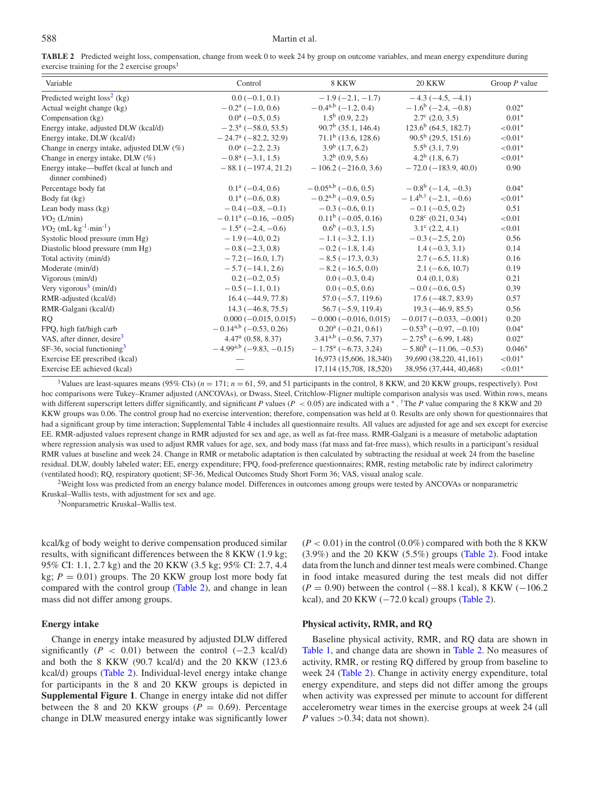#### 588 Martin et al.

<span id="page-5-0"></span>**TABLE 2** Predicted weight loss, compensation, change from week 0 to week 24 by group on outcome variables, and mean energy expenditure during exercise training for the 2 exercise groups<sup>1</sup>

| Variable                                        | Control                            | 8 KKW                              | <b>20 KKW</b>                 | Group $P$ value |
|-------------------------------------------------|------------------------------------|------------------------------------|-------------------------------|-----------------|
| Predicted weight $loss2$ (kg)                   | $0.0 (-0.1, 0.1)$                  | $-1.9(-2.1,-1.7)$                  | $-4.3(-4.5, -4.1)$            |                 |
| Actual weight change (kg)                       | $-0.2^a(-1.0, 0.6)$                | $-0.4^{a,b}$ (-1.2, 0.4)           | $-1.6^b$ (-2.4, -0.8)         | $0.02*$         |
| Compensation (kg)                               | $0.0^{\text{a}}$ (-0.5, 0.5)       | $1.5^{\rm b}$ (0.9, 2.2)           | $2.7^{\circ}$ (2.0, 3.5)      | $0.01*$         |
| Energy intake, adjusted DLW (kcal/d)            | $-2.3^{\mathrm{a}}$ (-58.0, 53.5)  | $90.7^b$ (35.1, 146.4)             | $123.6^b$ (64.5, 182.7)       | ${<}0.01*$      |
| Energy intake, DLW (kcal/d)                     | $-24.7^{\mathrm{a}}$ (-82.2, 32.9) | $71.1b$ (13.6, 128.6)              | $90.5^b$ (29.5, 151.6)        | ${<}0.01*$      |
| Change in energy intake, adjusted DLW (%)       | $0.0^a$ (-2.2, 2.3)                | $3.9^b$ (1.7, 6.2)                 | $5.5^b$ (3.1, 7.9)            | ${<}0.01*$      |
| Change in energy intake, DLW (%)                | $-0.8^a$ (-3.1, 1.5)               | $3.2^b$ (0.9, 5.6)                 | $4.2^b$ (1.8, 6.7)            | ${<}0.01*$      |
| Energy intake—buffet (kcal at lunch and         | $-88.1(-197.4, 21.2)$              | $-106.2(-216.0, 3.6)$              | $-72.0$ ( $-183.9, 40.0$ )    | 0.90            |
| dinner combined)                                |                                    |                                    |                               |                 |
| Percentage body fat                             | $0.1^{\mathrm{a}}$ (-0.4, 0.6)     | $-0.05^{a,b}$ (-0.6, 0.5)          | $-0.8^{\rm b}$ (-1.4, -0.3)   | $0.04*$         |
| Body fat (kg)                                   | $0.1^a(-0.6, 0.8)$                 | $-0.2^{a,b}$ (-0.9, 0.5)           | $-1.4^{b,+}$ (-2.1, -0.6)     | ${<}0.01*$      |
| Lean body mass (kg)                             | $-0.4(-0.8,-0.1)$                  | $-0.3(-0.6, 0.1)$                  | $-0.1$ (-0.5, 0.2)            | 0.51            |
| VO <sub>2</sub> (L/min)                         | $-0.11^a$ (-0.16, -0.05)           | $0.11^b (-0.05, 0.16)$             | $0.28^{\circ}$ (0.21, 0.34)   | < 0.01          |
| $VO2$ (mL·kg <sup>-1</sup> ·min <sup>-1</sup> ) | $-1.5^{\mathrm{a}}$ (-2.4, -0.6)   | $0.6^b$ (-0.3, 1.5)                | $3.1^{\circ}$ (2.2, 4.1)      | < 0.01          |
| Systolic blood pressure (mm Hg)                 | $-1.9(-4.0, 0.2)$                  | $-1.1(-3.2, 1.1)$                  | $-0.3(-2.5, 2.0)$             | 0.56            |
| Diastolic blood pressure (mm Hg)                | $-0.8$ ( $-2.3$ , 0.8)             | $-0.2(-1.8, 1.4)$                  | $1.4(-0.3, 3.1)$              | 0.14            |
| Total activity (min/d)                          | $-7.2(-16.0, 1.7)$                 | $-8.5(-17.3, 0.3)$                 | $2.7(-6.5, 11.8)$             | 0.16            |
| Moderate (min/d)                                | $-5.7(-14.1, 2.6)$                 | $-8.2(-16.5, 0.0)$                 | $2.1(-6.6, 10.7)$             | 0.19            |
| Vigorous (min/d)                                | $0.2(-0.2, 0.5)$                   | $0.0 (-0.3, 0.4)$                  | 0.4(0.1, 0.8)                 | 0.21            |
| Very vigorous <sup>3</sup> (min/d)              | $-0.5(-1.1, 0.1)$                  | $0.0(-0.5, 0.6)$                   | $-0.0$ (-0.6, 0.5)            | 0.39            |
| RMR-adjusted (kcal/d)                           | $16.4(-44.9, 77.8)$                | $57.0(-5.7, 119.6)$                | $17.6(-48.7, 83.9)$           | 0.57            |
| RMR-Galgani (kcal/d)                            | $14.3(-46.8, 75.5)$                | $56.7(-5.9, 119.4)$                | $19.3(-46.9, 85.5)$           | 0.56            |
| R <sub>O</sub>                                  | $0.000 (-0.015, 0.015)$            | $-0.000(-0.016, 0.015)$            | $-0.017(-0.033,-0.001)$       | 0.20            |
| FPQ, high fat/high carb                         | $-0.14^{a,b}$ (-0.53, 0.26)        | $0.20^a (-0.21, 0.61)$             | $-0.53^b$ (-0.97, -0.10)      | $0.04*$         |
| VAS, after dinner, desire <sup>3</sup>          | $4.47a$ (0.58, 8.37)               | $3.41^{a,b}$ (-0.56, 7.37)         | $-2.75^{\rm b}$ (-6.99, 1.48) | $0.02*$         |
| $SF-36$ , social functioning <sup>3</sup>       | $-4.99^{a,b}$ (-9.83, -0.15)       | $-1.75^{\mathrm{a}}$ (-6.73, 3.24) | $-5.80^b$ ( $-11.06, -0.53$ ) | $0.046*$        |
| Exercise EE prescribed (kcal)                   |                                    | 16,973 (15,606, 18,340)            | 39,690 (38,220, 41,161)       | ${<}0.01*$      |
| Exercise EE achieved (kcal)                     |                                    | 17,114 (15,708, 18,520)            | 38,956 (37,444, 40,468)       | ${<}0.01*$      |

<span id="page-5-1"></span><sup>1</sup>Values are least-squares means (95% CIs) ( $n = 171$ ;  $n = 61$ , 59, and 51 participants in the control, 8 KKW, and 20 KKW groups, respectively). Post hoc comparisons were Tukey–Kramer adjusted (ANCOVAs), or Dwass, Steel, Critchlow-Fligner multiple comparison analysis was used. Within rows, means with different superscript letters differ significantly, and significant *P* values (*P* < 0.05) are indicated with a <sup>∗</sup> . <sup>†</sup>The *P* value comparing the 8 KKW and 20 KKW groups was 0.06. The control group had no exercise intervention; therefore, compensation was held at 0. Results are only shown for questionnaires that had a significant group by time interaction; Supplemental Table 4 includes all questionnaire results. All values are adjusted for age and sex except for exercise EE. RMR-adjusted values represent change in RMR adjusted for sex and age, as well as fat-free mass. RMR-Galgani is a measure of metabolic adaptation where regression analysis was used to adjust RMR values for age, sex, and body mass (fat mass and fat-free mass), which results in a participant's residual RMR values at baseline and week 24. Change in RMR or metabolic adaptation is then calculated by subtracting the residual at week 24 from the baseline residual. DLW, doubly labeled water; EE, energy expenditure; FPQ, food-preference questionnaires; RMR, resting metabolic rate by indirect calorimetry (ventilated hood); RQ, respiratory quotient; SF-36, Medical Outcomes Study Short Form 36; VAS, visual analog scale.

<span id="page-5-2"></span><sup>2</sup>Weight loss was predicted from an energy balance model. Differences in outcomes among groups were tested by ANCOVAs or nonparametric Kruskal–Wallis tests, with adjustment for sex and age.

<span id="page-5-3"></span>3Nonparametric Kruskal–Wallis test.

kcal/kg of body weight to derive compensation produced similar results, with significant differences between the 8 KKW (1.9 kg; 95% CI: 1.1, 2.7 kg) and the 20 KKW (3.5 kg; 95% CI: 2.7, 4.4 kg;  $P = 0.01$ ) groups. The 20 KKW group lost more body fat compared with the control group [\(Table 2\)](#page-5-0), and change in lean mass did not differ among groups.

## **Energy intake**

Change in energy intake measured by adjusted DLW differed significantly ( $P < 0.01$ ) between the control (-2.3 kcal/d) and both the 8 KKW (90.7 kcal/d) and the 20 KKW (123.6 kcal/d) groups [\(Table 2\)](#page-5-0). Individual-level energy intake change for participants in the 8 and 20 KKW groups is depicted in **Supplemental Figure 1**. Change in energy intake did not differ between the 8 and 20 KKW groups  $(P = 0.69)$ . Percentage change in DLW measured energy intake was significantly lower  $(P < 0.01)$  in the control  $(0.0\%)$  compared with both the 8 KKW  $(3.9\%)$  and the 20 KKW  $(5.5\%)$  groups [\(Table 2\)](#page-5-0). Food intake data from the lunch and dinner test meals were combined. Change in food intake measured during the test meals did not differ (*P* = 0.90) between the control (−88.1 kcal), 8 KKW (−106.2 kcal), and 20 KKW  $(-72.0 \text{ kcal})$  groups [\(Table 2\)](#page-5-0).

# **Physical activity, RMR, and RQ**

Baseline physical activity, RMR, and RQ data are shown in [Table 1,](#page-4-1) and change data are shown in [Table 2.](#page-5-0) No measures of activity, RMR, or resting RQ differed by group from baseline to week 24 [\(Table 2\)](#page-5-0). Change in activity energy expenditure, total energy expenditure, and steps did not differ among the groups when activity was expressed per minute to account for different accelerometry wear times in the exercise groups at week 24 (all *P* values  $> 0.34$ ; data not shown).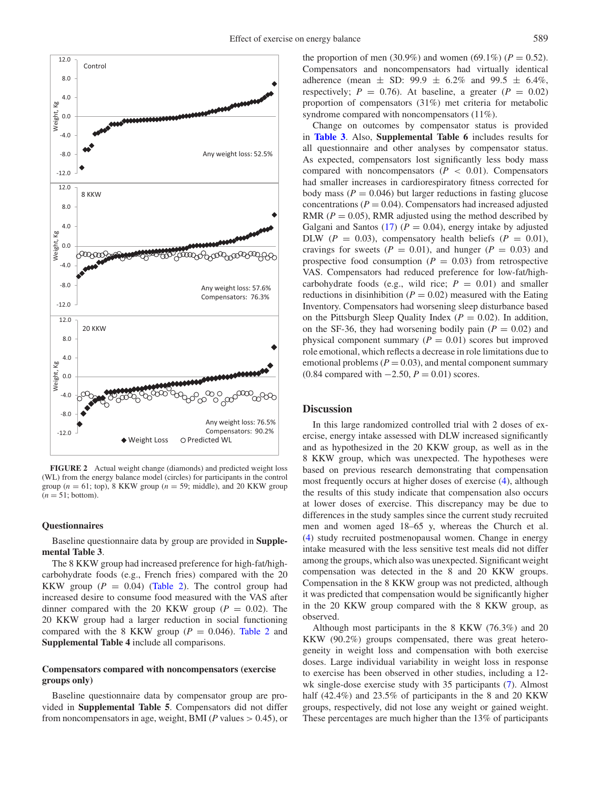<span id="page-6-0"></span>

**FIGURE 2** Actual weight change (diamonds) and predicted weight loss (WL) from the energy balance model (circles) for participants in the control group ( $n = 61$ ; top), 8 KKW group ( $n = 59$ ; middle), and 20 KKW group  $(n = 51$ ; bottom).

#### **Questionnaires**

Baseline questionnaire data by group are provided in **Supplemental Table 3**.

The 8 KKW group had increased preference for high-fat/highcarbohydrate foods (e.g., French fries) compared with the 20 KKW group  $(P = 0.04)$  [\(Table 2\)](#page-5-0). The control group had increased desire to consume food measured with the VAS after dinner compared with the 20 KKW group  $(P = 0.02)$ . The 20 KKW group had a larger reduction in social functioning compared with the 8 KKW group ( $P = 0.046$ ). [Table 2](#page-5-0) and **Supplemental Table 4** include all comparisons.

# **Compensators compared with noncompensators (exercise groups only)**

Baseline questionnaire data by compensator group are provided in **Supplemental Table 5**. Compensators did not differ from noncompensators in age, weight, BMI (*P* values > 0.45), or the proportion of men (30.9%) and women (69.1%) ( $P = 0.52$ ). Compensators and noncompensators had virtually identical adherence (mean  $\pm$  SD: 99.9  $\pm$  6.2% and 99.5  $\pm$  6.4%, respectively;  $P = 0.76$ . At baseline, a greater ( $P = 0.02$ ) proportion of compensators (31%) met criteria for metabolic syndrome compared with noncompensators (11%).

Change on outcomes by compensator status is provided in **[Table 3](#page-7-0)**. Also, **Supplemental Table 6** includes results for all questionnaire and other analyses by compensator status. As expected, compensators lost significantly less body mass compared with noncompensators  $(P < 0.01)$ . Compensators had smaller increases in cardiorespiratory fitness corrected for body mass  $(P = 0.046)$  but larger reductions in fasting glucose concentrations ( $P = 0.04$ ). Compensators had increased adjusted RMR  $(P = 0.05)$ , RMR adjusted using the method described by Galgani and Santos  $(17)$   $(P = 0.04)$ , energy intake by adjusted DLW  $(P = 0.03)$ , compensatory health beliefs  $(P = 0.01)$ , cravings for sweets ( $P = 0.01$ ), and hunger ( $P = 0.03$ ) and prospective food consumption  $(P = 0.03)$  from retrospective VAS. Compensators had reduced preference for low-fat/highcarbohydrate foods (e.g., wild rice;  $P = 0.01$ ) and smaller reductions in disinhibition ( $P = 0.02$ ) measured with the Eating Inventory. Compensators had worsening sleep disturbance based on the Pittsburgh Sleep Quality Index  $(P = 0.02)$ . In addition, on the SF-36, they had worsening bodily pain  $(P = 0.02)$  and physical component summary  $(P = 0.01)$  scores but improved role emotional, which reflects a decrease in role limitations due to emotional problems  $(P = 0.03)$ , and mental component summary (0.84 compared with −2.50, *P* = 0.01) scores.

# **Discussion**

In this large randomized controlled trial with 2 doses of exercise, energy intake assessed with DLW increased significantly and as hypothesized in the 20 KKW group, as well as in the 8 KKW group, which was unexpected. The hypotheses were based on previous research demonstrating that compensation most frequently occurs at higher doses of exercise [\(4\)](#page-8-5), although the results of this study indicate that compensation also occurs at lower doses of exercise. This discrepancy may be due to differences in the study samples since the current study recruited men and women aged 18–65 y, whereas the Church et al. [\(4\)](#page-8-5) study recruited postmenopausal women. Change in energy intake measured with the less sensitive test meals did not differ among the groups, which also was unexpected. Significant weight compensation was detected in the 8 and 20 KKW groups. Compensation in the 8 KKW group was not predicted, although it was predicted that compensation would be significantly higher in the 20 KKW group compared with the 8 KKW group, as observed.

Although most participants in the 8 KKW (76.3%) and 20 KKW (90.2%) groups compensated, there was great heterogeneity in weight loss and compensation with both exercise doses. Large individual variability in weight loss in response to exercise has been observed in other studies, including a 12 wk single-dose exercise study with 35 participants [\(7\)](#page-8-4). Almost half (42.4%) and 23.5% of participants in the 8 and 20 KKW groups, respectively, did not lose any weight or gained weight. These percentages are much higher than the 13% of participants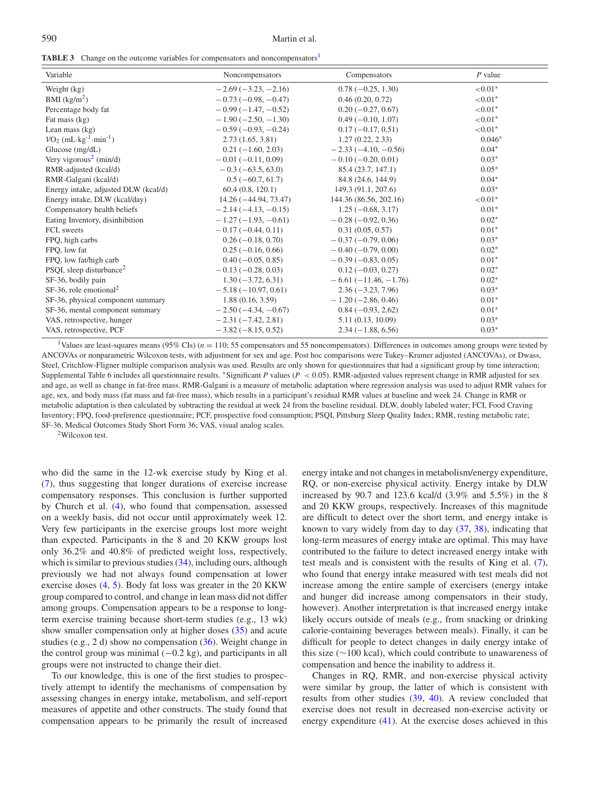#### 590 Martin et al.

<span id="page-7-0"></span>

| <b>TABLE 3</b> Change on the outcome variables for compensators and noncompensators <sup>1</sup> |  |
|--------------------------------------------------------------------------------------------------|--|
|                                                                                                  |  |

| Variable                                        | Noncompensators        | Compensators           | $P$ value  |
|-------------------------------------------------|------------------------|------------------------|------------|
| Weight (kg)                                     | $-2.69(-3.23,-2.16)$   | $0.78(-0.25, 1.30)$    | ${<}0.01*$ |
| BMI $(kg/m2)$                                   | $-0.73(-0.98,-0.47)$   | 0.46(0.20, 0.72)       | ${<}0.01*$ |
| Percentage body fat                             | $-0.99(-1.47,-0.52)$   | $0.20(-0.27, 0.67)$    | ${<}0.01*$ |
| Fat mass (kg)                                   | $-1.90(-2.50, -1.30)$  | $0.49(-0.10, 1.07)$    | ${<}0.01*$ |
| Lean mass $(kg)$                                | $-0.59(-0.93,-0.24)$   | $0.17(-0.17, 0.51)$    | ${<}0.01*$ |
| $VO2$ (mL·kg <sup>-1</sup> ·min <sup>-1</sup> ) | 2.73(1.65, 3.81)       | 1.27(0.22, 2.33)       | $0.046*$   |
| Glucose $(mg/dL)$                               | $0.21(-1.60, 2.03)$    | $-2.33(-4.10, -0.56)$  | $0.04*$    |
| Very vigorous <sup>2</sup> (min/d)              | $-0.01(-0.11, 0.09)$   | $-0.10(-0.20, 0.01)$   | $0.03*$    |
| RMR-adjusted (kcal/d)                           | $-0.3(-63.5, 63.0)$    | 85.4 (23.7, 147.1)     | $0.05*$    |
| RMR-Galgani (kcal/d)                            | $0.5(-60.7, 61.7)$     | 84.8 (24.6, 144.9)     | $0.04*$    |
| Energy intake, adjusted DLW (kcal/d)            | 60.4(0.8, 120.1)       | 149.3 (91.1, 207.6)    | $0.03*$    |
| Energy intake, DLW (kcal/day)                   | $14.26(-44.94, 73.47)$ | 144.36 (86.56, 202.16) | ${<}0.01*$ |
| Compensatory health beliefs                     | $-2.14(-4.13,-0.15)$   | $1.25(-0.68, 3.17)$    | $0.01*$    |
| Eating Inventory, disinhibition                 | $-1.27(-1.93,-0.61)$   | $-0.28(-0.92, 0.36)$   | $0.02*$    |
| FCI, sweets                                     | $-0.17(-0.44, 0.11)$   | 0.31(0.05, 0.57)       | $0.01*$    |
| FPQ, high carbs                                 | $0.26(-0.18, 0.70)$    | $-0.37(-0.79, 0.06)$   | $0.03*$    |
| FPQ, low fat                                    | $0.25(-0.16, 0.66)$    | $-0.40(-0.79, 0.00)$   | $0.02*$    |
| FPQ, low fat/high carb                          | $0.40 (-0.05, 0.85)$   | $-0.39(-0.83, 0.05)$   | $0.01*$    |
| PSQI, sleep disturbance <sup>2</sup>            | $-0.13(-0.28, 0.03)$   | $0.12(-0.03, 0.27)$    | $0.02*$    |
| SF-36, bodily pain                              | $1.30(-3.72, 6.31)$    | $-6.61(-11.46,-1.76)$  | $0.02*$    |
| $SF-36$ , role emotional <sup>2</sup>           | $-5.18(-10.97, 0.61)$  | $2.36(-3.23, 7.96)$    | $0.03*$    |
| SF-36, physical component summary               | 1.88(0.16, 3.59)       | $-1.20(-2.86, 0.46)$   | $0.01*$    |
| SF-36, mental component summary                 | $-2.50(-4.34, -0.67)$  | $0.84 (-0.93, 2.62)$   | $0.01*$    |
| VAS, retrospective, hunger                      | $-2.31(-7.42, 2.81)$   | 5.11 (0.13, 10.09)     | $0.03*$    |
| VAS, retrospective, PCF                         | $-3.82(-8.15, 0.52)$   | $2.34(-1.88, 6.56)$    | $0.03*$    |

<span id="page-7-1"></span><sup>1</sup>Values are least-squares means (95% CIs) ( $n = 110$ ; 55 compensators and 55 noncompensators). Differences in outcomes among groups were tested by ANCOVAs or nonparametric Wilcoxon tests, with adjustment for sex and age. Post hoc comparisons were Tukey–Kramer adjusted (ANCOVAs), or Dwass, Steel, Critchlow-Fligner multiple comparison analysis was used. Results are only shown for questionnaires that had a significant group by time interaction; Supplemental Table 6 includes all questionnaire results. ∗Significant *P* values (*P* < 0.05). RMR-adjusted values represent change in RMR adjusted for sex and age, as well as change in fat-free mass. RMR-Galgani is a measure of metabolic adaptation where regression analysis was used to adjust RMR values for age, sex, and body mass (fat mass and fat-free mass), which results in a participant's residual RMR values at baseline and week 24. Change in RMR or metabolic adaptation is then calculated by subtracting the residual at week 24 from the baseline residual. DLW, doubly labeled water; FCI, Food Craving Inventory; FPQ, food-preference questionnaire; PCF, prospective food consumption; PSQI, Pittsburg Sleep Quality Index; RMR, resting metabolic rate; SF-36, Medical Outcomes Study Short Form 36; VAS, visual analog scales.

<span id="page-7-2"></span>2Wilcoxon test.

who did the same in the 12-wk exercise study by King et al. [\(7\)](#page-8-4), thus suggesting that longer durations of exercise increase compensatory responses. This conclusion is further supported by Church et al. [\(4\)](#page-8-5), who found that compensation, assessed on a weekly basis, did not occur until approximately week 12. Very few participants in the exercise groups lost more weight than expected. Participants in the 8 and 20 KKW groups lost only 36.2% and 40.8% of predicted weight loss, respectively, which is similar to previous studies  $(34)$ , including ours, although previously we had not always found compensation at lower exercise doses [\(4,](#page-8-5) [5\)](#page-8-6). Body fat loss was greater in the 20 KKW group compared to control, and change in lean mass did not differ among groups. Compensation appears to be a response to longterm exercise training because short-term studies (e.g., 13 wk) show smaller compensation only at higher doses [\(35\)](#page-9-23) and acute studies (e.g., 2 d) show no compensation [\(36\)](#page-9-24). Weight change in the control group was minimal  $(-0.2 \text{ kg})$ , and participants in all groups were not instructed to change their diet.

To our knowledge, this is one of the first studies to prospectively attempt to identify the mechanisms of compensation by assessing changes in energy intake, metabolism, and self-report measures of appetite and other constructs. The study found that compensation appears to be primarily the result of increased energy intake and not changes in metabolism/energy expenditure, RQ, or non-exercise physical activity. Energy intake by DLW increased by 90.7 and 123.6 kcal/d (3.9% and 5.5%) in the 8 and 20 KKW groups, respectively. Increases of this magnitude are difficult to detect over the short term, and energy intake is known to vary widely from day to day [\(37,](#page-9-25) [38\)](#page-9-26), indicating that long-term measures of energy intake are optimal. This may have contributed to the failure to detect increased energy intake with test meals and is consistent with the results of King et al. [\(7\)](#page-8-4), who found that energy intake measured with test meals did not increase among the entire sample of exercisers (energy intake and hunger did increase among compensators in their study, however). Another interpretation is that increased energy intake likely occurs outside of meals (e.g., from snacking or drinking calorie-containing beverages between meals). Finally, it can be difficult for people to detect changes in daily energy intake of this size (∼100 kcal), which could contribute to unawareness of compensation and hence the inability to address it.

Changes in RQ, RMR, and non-exercise physical activity were similar by group, the latter of which is consistent with results from other studies [\(39,](#page-9-27) [40\)](#page-9-28). A review concluded that exercise does not result in decreased non-exercise activity or energy expenditure [\(41\)](#page-9-29). At the exercise doses achieved in this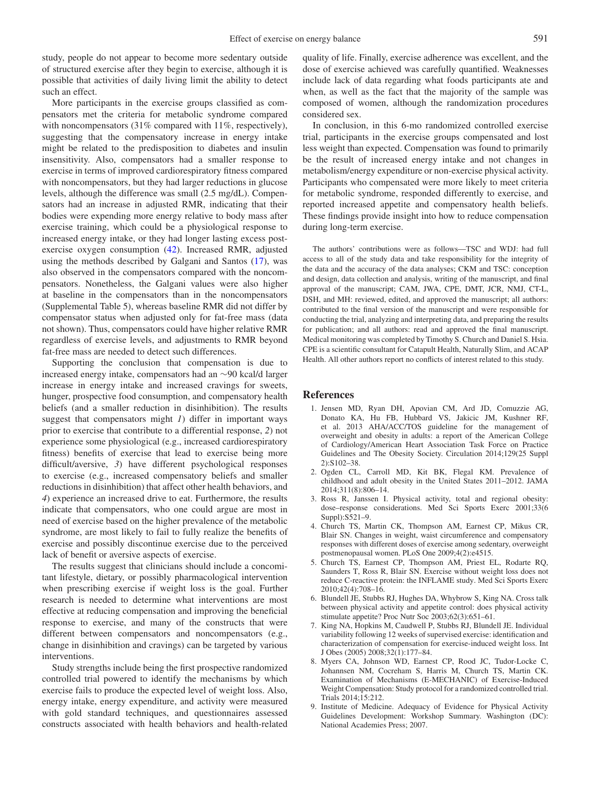study, people do not appear to become more sedentary outside of structured exercise after they begin to exercise, although it is possible that activities of daily living limit the ability to detect such an effect.

More participants in the exercise groups classified as compensators met the criteria for metabolic syndrome compared with noncompensators (31% compared with 11%, respectively), suggesting that the compensatory increase in energy intake might be related to the predisposition to diabetes and insulin insensitivity. Also, compensators had a smaller response to exercise in terms of improved cardiorespiratory fitness compared with noncompensators, but they had larger reductions in glucose levels, although the difference was small (2.5 mg/dL). Compensators had an increase in adjusted RMR, indicating that their bodies were expending more energy relative to body mass after exercise training, which could be a physiological response to increased energy intake, or they had longer lasting excess postexercise oxygen consumption [\(42\)](#page-9-30). Increased RMR, adjusted using the methods described by Galgani and Santos [\(17\)](#page-9-5), was also observed in the compensators compared with the noncompensators. Nonetheless, the Galgani values were also higher at baseline in the compensators than in the noncompensators (Supplemental Table 5), whereas baseline RMR did not differ by compensator status when adjusted only for fat-free mass (data not shown). Thus, compensators could have higher relative RMR regardless of exercise levels, and adjustments to RMR beyond fat-free mass are needed to detect such differences.

Supporting the conclusion that compensation is due to increased energy intake, compensators had an ∼90 kcal/d larger increase in energy intake and increased cravings for sweets, hunger, prospective food consumption, and compensatory health beliefs (and a smaller reduction in disinhibition). The results suggest that compensators might *1*) differ in important ways prior to exercise that contribute to a differential response, *2*) not experience some physiological (e.g., increased cardiorespiratory fitness) benefits of exercise that lead to exercise being more difficult/aversive, *3*) have different psychological responses to exercise (e.g., increased compensatory beliefs and smaller reductions in disinhibition) that affect other health behaviors, and *4*) experience an increased drive to eat. Furthermore, the results indicate that compensators, who one could argue are most in need of exercise based on the higher prevalence of the metabolic syndrome, are most likely to fail to fully realize the benefits of exercise and possibly discontinue exercise due to the perceived lack of benefit or aversive aspects of exercise.

The results suggest that clinicians should include a concomitant lifestyle, dietary, or possibly pharmacological intervention when prescribing exercise if weight loss is the goal. Further research is needed to determine what interventions are most effective at reducing compensation and improving the beneficial response to exercise, and many of the constructs that were different between compensators and noncompensators (e.g., change in disinhibition and cravings) can be targeted by various interventions.

Study strengths include being the first prospective randomized controlled trial powered to identify the mechanisms by which exercise fails to produce the expected level of weight loss. Also, energy intake, energy expenditure, and activity were measured with gold standard techniques, and questionnaires assessed constructs associated with health behaviors and health-related quality of life. Finally, exercise adherence was excellent, and the dose of exercise achieved was carefully quantified. Weaknesses include lack of data regarding what foods participants ate and when, as well as the fact that the majority of the sample was composed of women, although the randomization procedures considered sex.

In conclusion, in this 6-mo randomized controlled exercise trial, participants in the exercise groups compensated and lost less weight than expected. Compensation was found to primarily be the result of increased energy intake and not changes in metabolism/energy expenditure or non-exercise physical activity. Participants who compensated were more likely to meet criteria for metabolic syndrome, responded differently to exercise, and reported increased appetite and compensatory health beliefs. These findings provide insight into how to reduce compensation during long-term exercise.

The authors' contributions were as follows—TSC and WDJ: had full access to all of the study data and take responsibility for the integrity of the data and the accuracy of the data analyses; CKM and TSC: conception and design, data collection and analysis, writing of the manuscript, and final approval of the manuscript; CAM, JWA, CPE, DMT, JCR, NMJ, CT-L, DSH, and MH: reviewed, edited, and approved the manuscript; all authors: contributed to the final version of the manuscript and were responsible for conducting the trial, analyzing and interpreting data, and preparing the results for publication; and all authors: read and approved the final manuscript. Medical monitoring was completed by Timothy S. Church and Daniel S. Hsia. CPE is a scientific consultant for Catapult Health, Naturally Slim, and ACAP Health. All other authors report no conflicts of interest related to this study.

#### **References**

- <span id="page-8-0"></span>1. Jensen MD, Ryan DH, Apovian CM, Ard JD, Comuzzie AG, Donato KA, Hu FB, Hubbard VS, Jakicic JM, Kushner RF, et al. 2013 AHA/ACC/TOS guideline for the management of overweight and obesity in adults: a report of the American College of Cardiology/American Heart Association Task Force on Practice Guidelines and The Obesity Society. Circulation 2014;129(25 Suppl 2):S102–38.
- <span id="page-8-1"></span>2. Ogden CL, Carroll MD, Kit BK, Flegal KM. Prevalence of childhood and adult obesity in the United States 2011–2012. JAMA 2014;311(8):806–14.
- <span id="page-8-2"></span>3. Ross R, Janssen I. Physical activity, total and regional obesity: dose–response considerations. Med Sci Sports Exerc 2001;33(6 Suppl):S521–9.
- <span id="page-8-5"></span>4. Church TS, Martin CK, Thompson AM, Earnest CP, Mikus CR, Blair SN. Changes in weight, waist circumference and compensatory responses with different doses of exercise among sedentary, overweight postmenopausal women. PLoS One 2009;4(2):e4515.
- <span id="page-8-6"></span>5. Church TS, Earnest CP, Thompson AM, Priest EL, Rodarte RQ, Saunders T, Ross R, Blair SN. Exercise without weight loss does not reduce C-reactive protein: the INFLAME study. Med Sci Sports Exerc 2010;42(4):708–16.
- <span id="page-8-3"></span>6. Blundell JE, Stubbs RJ, Hughes DA, Whybrow S, King NA. Cross talk between physical activity and appetite control: does physical activity stimulate appetite? Proc Nutr Soc 2003;62(3):651–61.
- <span id="page-8-4"></span>7. King NA, Hopkins M, Caudwell P, Stubbs RJ, Blundell JE. Individual variability following 12 weeks of supervised exercise: identification and characterization of compensation for exercise-induced weight loss. Int J Obes (2005) 2008;32(1):177–84.
- <span id="page-8-7"></span>8. Myers CA, Johnson WD, Earnest CP, Rood JC, Tudor-Locke C, Johannsen NM, Cocreham S, Harris M, Church TS, Martin CK. Examination of Mechanisms (E-MECHANIC) of Exercise-Induced Weight Compensation: Study protocol for a randomized controlled trial. Trials 2014;15:212.
- <span id="page-8-8"></span>9. Institute of Medicine. Adequacy of Evidence for Physical Activity Guidelines Development: Workshop Summary. Washington (DC): National Academies Press; 2007.